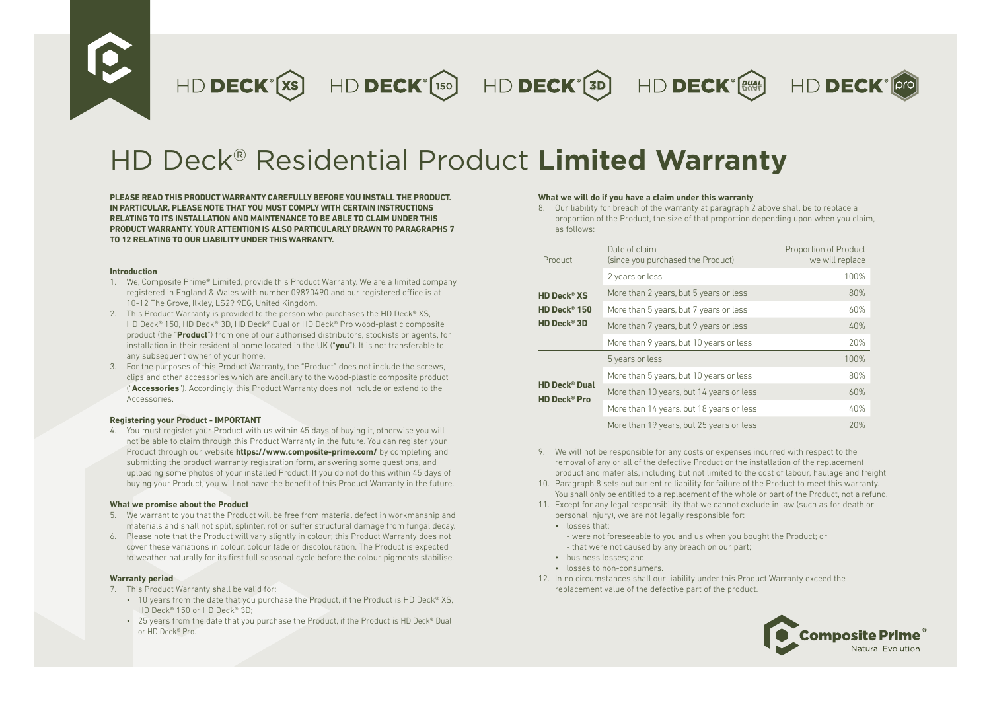HD DECK<sup>°</sup>(xs) HD DECK<sup>°</sup>(150) HD DECK<sup>°</sup>(3D) HD DECK<sup>°</sup>(3M)



# HD Deck® Residential Product **Limited Warranty**

**PLEASE READ THIS PRODUCT WARRANTY CAREFULLY BEFORE YOU INSTALL THE PRODUCT. IN PARTICULAR, PLEASE NOTE THAT YOU MUST COMPLY WITH CERTAIN INSTRUCTIONS RELATING TO ITS INSTALLATION AND MAINTENANCE TO BE ABLE TO CLAIM UNDER THIS PRODUCT WARRANTY. YOUR ATTENTION IS ALSO PARTICULARLY DRAWN TO PARAGRAPHS 7 TO 12 RELATING TO OUR LIABILITY UNDER THIS WARRANTY.**

### **Introduction**

- 1. We, Composite Prime® Limited, provide this Product Warranty. We are a limited company registered in England & Wales with number 09870490 and our registered office is at 10-12 The Grove, Ilkley, LS29 9EG, United Kingdom.
- 2. This Product Warranty is provided to the person who purchases the HD Deck® XS, HD Deck® 150, HD Deck® 3D, HD Deck® Dual or HD Deck® Pro wood-plastic composite product (the "**Product**") from one of our authorised distributors, stockists or agents, for installation in their residential home located in the UK ("**you**"). It is not transferable to any subsequent owner of your home.
- 3. For the purposes of this Product Warranty, the "Product" does not include the screws, clips and other accessories which are ancillary to the wood-plastic composite product ("**Accessories**"). Accordingly, this Product Warranty does not include or extend to the Accessories.

## **Registering your Product - IMPORTANT**

4. You must register your Product with us within 45 days of buying it, otherwise you will not be able to claim through this Product Warranty in the future. You can register your Product through our website **https://www.composite-prime.com/** by completing and submitting the product warranty registration form, answering some questions, and uploading some photos of your installed Product. If you do not do this within 45 days of buying your Product, you will not have the benefit of this Product Warranty in the future.

## **What we promise about the Product**

- 5. We warrant to you that the Product will be free from material defect in workmanship and materials and shall not split, splinter, rot or suffer structural damage from fungal decay.
- 6. Please note that the Product will vary slightly in colour; this Product Warranty does not cover these variations in colour, colour fade or discolouration. The Product is expected to weather naturally for its first full seasonal cycle before the colour pigments stabilise.

## **Warranty period**

- 7. This Product Warranty shall be valid for:
	- 10 years from the date that you purchase the Product, if the Product is HD Deck® XS. HD Deck® 150 or HD Deck® 3D;
	- $\cdot$  25 years from the date that you purchase the Product, if the Product is HD Deck® Dual or HD Deck® Pro.

## **What we will do if you have a claim under this warranty**

8. Our liability for breach of the warranty at paragraph 2 above shall be to replace a proportion of the Product, the size of that proportion depending upon when you claim, as follows:

| Product                                                           | Date of claim<br>(since you purchased the Product) | Proportion of Product<br>we will replace |
|-------------------------------------------------------------------|----------------------------------------------------|------------------------------------------|
|                                                                   | 2 years or less                                    | 100%                                     |
| <b>HD Deck<sup>®</sup> XS</b>                                     | More than 2 years, but 5 years or less             | 80%                                      |
| HD Deck® 150                                                      | More than 5 years, but 7 years or less             | 60%                                      |
| HD Deck® 3D                                                       | More than 7 years, but 9 years or less             | 40%                                      |
|                                                                   | More than 9 years, but 10 years or less            | 20%                                      |
| <b>HD Deck<sup>®</sup> Dual</b><br><b>HD Deck<sup>®</sup> Pro</b> | 5 years or less                                    | 100%                                     |
|                                                                   | More than 5 years, but 10 years or less            | 80%                                      |
|                                                                   | More than 10 years, but 14 years or less           | 60%                                      |
|                                                                   | More than 14 years, but 18 years or less           | 40%                                      |
|                                                                   | More than 19 years, but 25 years or less           | 20%                                      |

- 9. We will not be responsible for any costs or expenses incurred with respect to the removal of any or all of the defective Product or the installation of the replacement product and materials, including but not limited to the cost of labour, haulage and freight.
- 10. Paragraph 8 sets out our entire liability for failure of the Product to meet this warranty. You shall only be entitled to a replacement of the whole or part of the Product, not a refund.
- 11. Except for any legal responsibility that we cannot exclude in law (such as for death or personal injury), we are not legally responsible for:
	- losses that:
		- were not foreseeable to you and us when you bought the Product; or - that were not caused by any breach on our part;
	- business losses; and
	- losses to non-consumers.
- 12. In no circumstances shall our liability under this Product Warranty exceed the replacement value of the defective part of the product.